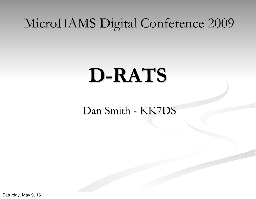#### MicroHAMS Digital Conference 2009

# **D-RATS**

Dan Smith - KK7DS

Saturday, May 9, 15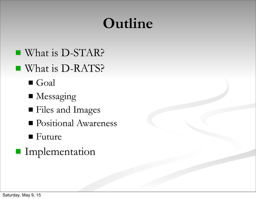## **Outline**

- What is D-STAR?
- What is D-RATS?
	- ! Goal
	- **I** Messaging
	- ! Files and Images
	- **Positional Awareness**
	- Future
- **I**mplementation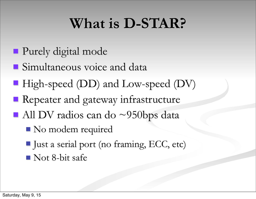### **What is D-STAR?**

- **Purely digital mode**
- **Simultaneous voice and data**
- High-speed (DD) and Low-speed (DV)
- **EX** Repeater and gateway infrastructure
- $\blacksquare$  All DV radios can do ~950bps data
	- No modem required
	- I Just a serial port (no framing, ECC, etc)
	- lacks-bit safe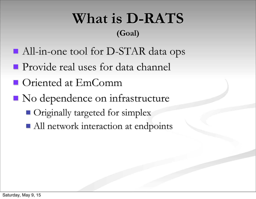#### **What is D-RATS (Goal)**

- All-in-one tool for D-STAR data ops
- **Provide real uses for data channel**
- **I** Oriented at EmComm
- lacktriangleright No dependence on infrastructure
	- **De Originally targeted for simplex**
	- All network interaction at endpoints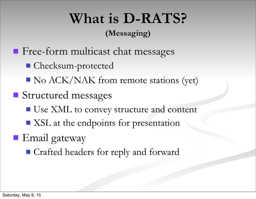## **What is D-RATS?**

#### **(Messaging)**

- **Execute Free-form multicast chat messages** 
	- **Checksum-protected**
	- lack/NAK from remote stations (yet)
- **Structured messages** 
	- Use XML to convey structure and content
	- **II XSL** at the endpoints for presentation
- **Email** gateway
	- Crafted headers for reply and forward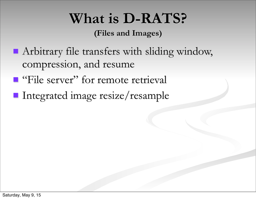### **What is D-RATS?**

**(Files and Images)**

- **E** Arbitrary file transfers with sliding window, compression, and resume
- **E** "File server" for remote retrieval
- **Integrated image resize/resample**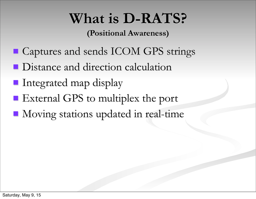### **What is D-RATS?**

**(Positional Awareness)**

- **E** Captures and sends ICOM GPS strings
- **In Distance and direction calculation**
- **I** Integrated map display
- **External GPS to multiplex the port**
- **II** Moving stations updated in real-time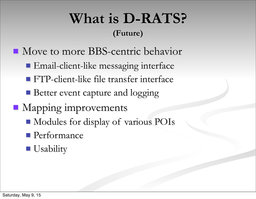#### **What is D-RATS? (Future)**

- Move to more BBS-centric behavior
	- **Email-client-like messaging interface**
	- **EXTP-client-like file transfer interface**
	- **Better event capture and logging**
- **I** Mapping improvements
	- **In Modules for display of various POIs**
	- **Performance**

#### **Usability**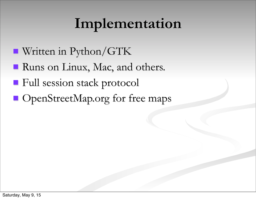### **Implementation**

- Written in Python/GTK
- **Runs on Linux, Mac, and others.**
- **Example 1 Full session stack protocol**
- **I** OpenStreetMap.org for free maps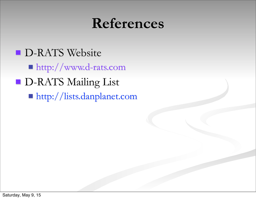#### **References**

**D-RATS Website** ! http://www.d-rats.com **D-RATS Mailing List** ! http://lists.danplanet.com